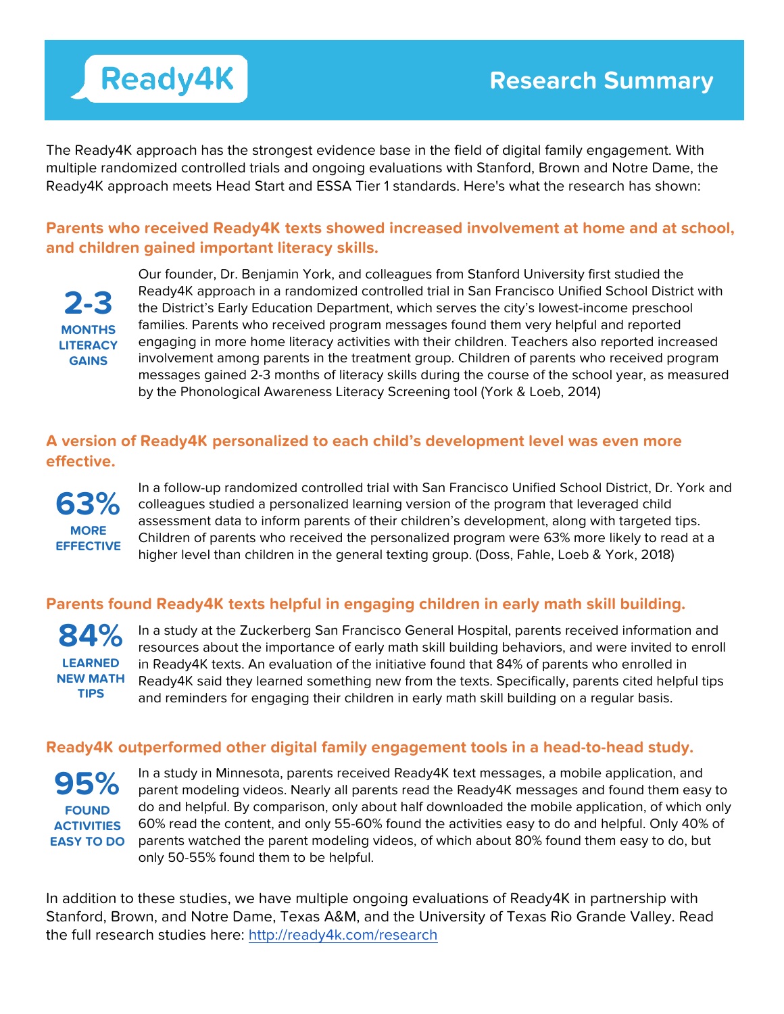# **Ready4K**

The Ready4K approach has the strongest evidence base in the field of digital family engagement. With multiple randomized controlled trials and ongoing evaluations with Stanford, Brown and Notre Dame, the Ready4K approach meets Head Start and ESSA Tier 1 standards. Here's what the research has shown:

### **Parents who received Ready4K texts showed increased involvement at home and at school, and children gained important literacy skills.**

**2-3 MONTHS LITERACY GAINS**

Our founder, Dr. Benjamin York, and colleagues from Stanford University first studied the Ready4K approach in a randomized controlled trial in San Francisco Unified School District with the District's Early Education Department, which serves the city's lowest-income preschool families. Parents who received program messages found them very helpful and reported engaging in more home literacy activities with their children. Teachers also reported increased involvement among parents in the treatment group. Children of parents who received program messages gained 2-3 months of literacy skills during the course of the school year, as measured by the Phonological Awareness Literacy Screening tool (York & Loeb, 2014)

## **A version of Ready4K personalized to each child's development level was even more effective.**



In a follow-up randomized controlled trial with San Francisco Unified School District, Dr. York and colleagues studied a personalized learning version of the program that leveraged child assessment data to inform parents of their children's development, along with targeted tips. Children of parents who received the personalized program were 63% more likely to read at a higher level than children in the general texting group. (Doss, Fahle, Loeb & York, 2018)

### **Parents found Ready4K texts helpful in engaging children in early math skill building.**

**84% LEARNED NEW MATH TIPS**

In a study at the Zuckerberg San Francisco General Hospital, parents received information and resources about the importance of early math skill building behaviors, and were invited to enroll in Ready4K texts. An evaluation of the initiative found that 84% of parents who enrolled in Ready4K said they learned something new from the texts. Specifically, parents cited helpful tips and reminders for engaging their children in early math skill building on a regular basis.

### **Ready4K outperformed other digital family engagement tools in a head-to-head study.**

**95% FOUND ACTIVITIES EASY TO DO**

In a study in Minnesota, parents received Ready4K text messages, a mobile application, and parent modeling videos. Nearly all parents read the Ready4K messages and found them easy to do and helpful. By comparison, only about half downloaded the mobile application, of which only 60% read the content, and only 55-60% found the activities easy to do and helpful. Only 40% of parents watched the parent modeling videos, of which about 80% found them easy to do, but only 50-55% found them to be helpful.

In addition to these studies, we have multiple ongoing evaluations of Ready4K in partnership with Stanford, Brown, and Notre Dame, Texas A&M, and the University of Texas Rio Grande Valley. Read the full research studies here: http://ready4k.com/research